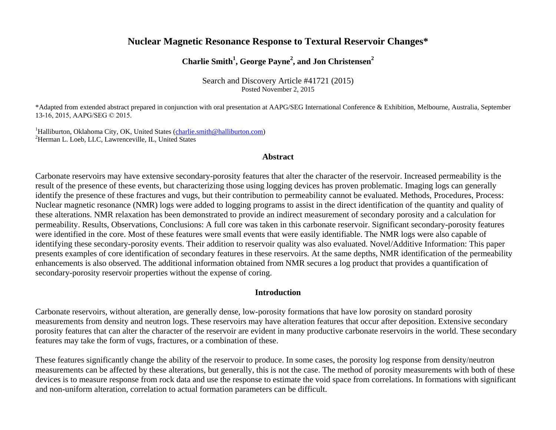# **Nuclear Magnetic Resonance Response to Textural Reservoir Changes\***

# **Charlie Smith<sup>1</sup> , George Payne<sup>2</sup> , and Jon Christensen<sup>2</sup>**

Search and Discovery Article #41721 (2015) Posted November 2, 2015

\*Adapted from extended abstract prepared in conjunction with oral presentation at AAPG/SEG International Conference & Exhibition, Melbourne, Australia, September 13-16, 2015, AAPG/SEG © 2015.

<sup>1</sup>Halliburton, Oklahoma City, OK, United States [\(charlie.smith@halliburton.com\)](mailto:charlie.smith@halliburton.com) <sup>2</sup>Herman L. Loeb, LLC, Lawrenceville, IL, United States

#### **Abstract**

Carbonate reservoirs may have extensive secondary-porosity features that alter the character of the reservoir. Increased permeability is the result of the presence of these events, but characterizing those using logging devices has proven problematic. Imaging logs can generally identify the presence of these fractures and vugs, but their contribution to permeability cannot be evaluated. Methods, Procedures, Process: Nuclear magnetic resonance (NMR) logs were added to logging programs to assist in the direct identification of the quantity and quality of these alterations. NMR relaxation has been demonstrated to provide an indirect measurement of secondary porosity and a calculation for permeability. Results, Observations, Conclusions: A full core was taken in this carbonate reservoir. Significant secondary-porosity features were identified in the core. Most of these features were small events that were easily identifiable. The NMR logs were also capable of identifying these secondary-porosity events. Their addition to reservoir quality was also evaluated. Novel/Additive Information: This paper presents examples of core identification of secondary features in these reservoirs. At the same depths, NMR identification of the permeability enhancements is also observed. The additional information obtained from NMR secures a log product that provides a quantification of secondary-porosity reservoir properties without the expense of coring.

#### **Introduction**

Carbonate reservoirs, without alteration, are generally dense, low-porosity formations that have low porosity on standard porosity measurements from density and neutron logs. These reservoirs may have alteration features that occur after deposition. Extensive secondary porosity features that can alter the character of the reservoir are evident in many productive carbonate reservoirs in the world. These secondary features may take the form of vugs, fractures, or a combination of these.

These features significantly change the ability of the reservoir to produce. In some cases, the porosity log response from density/neutron measurements can be affected by these alterations, but generally, this is not the case. The method of porosity measurements with both of these devices is to measure response from rock data and use the response to estimate the void space from correlations. In formations with significant and non-uniform alteration, correlation to actual formation parameters can be difficult.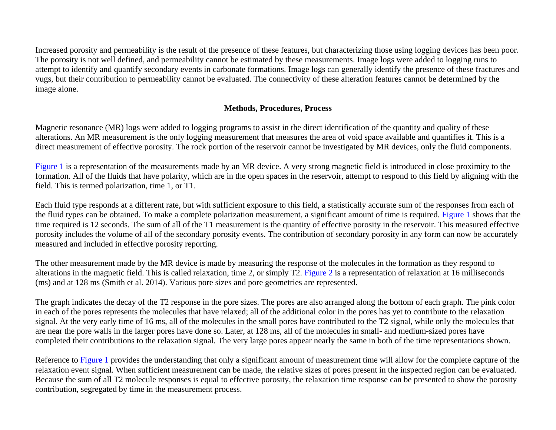Increased porosity and permeability is the result of the presence of these features, but characterizing those using logging devices has been poor. The porosity is not well defined, and permeability cannot be estimated by these measurements. Image logs were added to logging runs to attempt to identify and quantify secondary events in carbonate formations. Image logs can generally identify the presence of these fractures and vugs, but their contribution to permeability cannot be evaluated. The connectivity of these alteration features cannot be determined by the image alone.

### **Methods, Procedures, Process**

Magnetic resonance (MR) logs were added to logging programs to assist in the direct identification of the quantity and quality of these alterations. An MR measurement is the only logging measurement that measures the area of void space available and quantifies it. This is a direct measurement of effective porosity. The rock portion of the reservoir cannot be investigated by MR devices, only the fluid components.

[Figure 1](#page-6-0) is a representation of the measurements made by an MR device. A very strong magnetic field is introduced in close proximity to the formation. All of the fluids that have polarity, which are in the open spaces in the reservoir, attempt to respond to this field by aligning with the field. This is termed polarization, time 1, or T1.

Each fluid type responds at a different rate, but with sufficient exposure to this field, a statistically accurate sum of the responses from each of the fluid types can be obtained. To make a complete polarization measurement, a significant amount of time is required. [Figure 1](#page-6-0) shows that the time required is 12 seconds. The sum of all of the T1 measurement is the quantity of effective porosity in the reservoir. This measured effective porosity includes the volume of all of the secondary porosity events. The contribution of secondary porosity in any form can now be accurately measured and included in effective porosity reporting.

The other measurement made by the MR device is made by measuring the response of the molecules in the formation as they respond to alterations in the magnetic field. This is called relaxation, time 2, or simply T2[. Figure 2](#page-7-0) is a representation of relaxation at 16 milliseconds (ms) and at 128 ms (Smith et al. 2014). Various pore sizes and pore geometries are represented.

The graph indicates the decay of the T2 response in the pore sizes. The pores are also arranged along the bottom of each graph. The pink color in each of the pores represents the molecules that have relaxed; all of the additional color in the pores has yet to contribute to the relaxation signal. At the very early time of 16 ms, all of the molecules in the small pores have contributed to the T2 signal, while only the molecules that are near the pore walls in the larger pores have done so. Later, at 128 ms, all of the molecules in small- and medium-sized pores have completed their contributions to the relaxation signal. The very large pores appear nearly the same in both of the time representations shown.

Reference to [Figure 1](#page-6-0) provides the understanding that only a significant amount of measurement time will allow for the complete capture of the relaxation event signal. When sufficient measurement can be made, the relative sizes of pores present in the inspected region can be evaluated. Because the sum of all T2 molecule responses is equal to effective porosity, the relaxation time response can be presented to show the porosity contribution, segregated by time in the measurement process.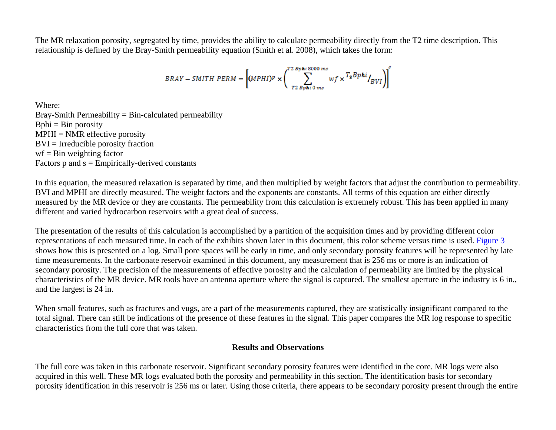The MR relaxation porosity, segregated by time, provides the ability to calculate permeability directly from the T2 time description. This relationship is defined by the Bray-Smith permeability equation (Smith et al. 2008), which takes the form:

$$
BRAY-SMITH\ PERM=\left[ (MPII)^p \times \left( \sum_{T2\ Bp\ \mathbf{h} i\ 0\ ms}^{T2\ Bp\mathbf{h} i\ 000\ ms}wf \times \frac{T_2Bp\mathbf{h} i}{T_2Bp\mathbf{h} i\ 0\ ms}\right)^s\right]
$$

Where: Bray-Smith Permeability  $=$  Bin-calculated permeability  $Bphi = Bin porosity$  $MPHI = NMR$  effective porosity BVI = Irreducible porosity fraction  $wf = Bin$  weighting factor Factors  $p$  and  $s =$  Empirically-derived constants

In this equation, the measured relaxation is separated by time, and then multiplied by weight factors that adjust the contribution to permeability. BVI and MPHI are directly measured. The weight factors and the exponents are constants. All terms of this equation are either directly measured by the MR device or they are constants. The permeability from this calculation is extremely robust. This has been applied in many different and varied hydrocarbon reservoirs with a great deal of success.

The presentation of the results of this calculation is accomplished by a partition of the acquisition times and by providing different color representations of each measured time. In each of the exhibits shown later in this document, this color scheme versus time is used. [Figure 3](#page-8-0) shows how this is presented on a log. Small pore spaces will be early in time, and only secondary porosity features will be represented by late time measurements. In the carbonate reservoir examined in this document, any measurement that is 256 ms or more is an indication of secondary porosity. The precision of the measurements of effective porosity and the calculation of permeability are limited by the physical characteristics of the MR device. MR tools have an antenna aperture where the signal is captured. The smallest aperture in the industry is 6 in., and the largest is 24 in.

When small features, such as fractures and vugs, are a part of the measurements captured, they are statistically insignificant compared to the total signal. There can still be indications of the presence of these features in the signal. This paper compares the MR log response to specific characteristics from the full core that was taken.

### **Results and Observations**

The full core was taken in this carbonate reservoir. Significant secondary porosity features were identified in the core. MR logs were also acquired in this well. These MR logs evaluated both the porosity and permeability in this section. The identification basis for secondary porosity identification in this reservoir is 256 ms or later. Using those criteria, there appears to be secondary porosity present through the entire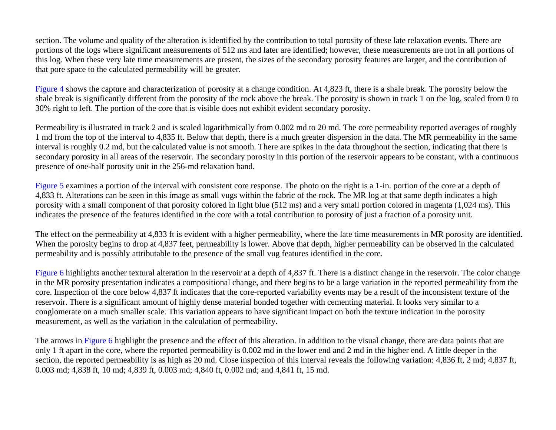section. The volume and quality of the alteration is identified by the contribution to total porosity of these late relaxation events. There are portions of the logs where significant measurements of 512 ms and later are identified; however, these measurements are not in all portions of this log. When these very late time measurements are present, the sizes of the secondary porosity features are larger, and the contribution of that pore space to the calculated permeability will be greater.

[Figure 4](#page-9-0) shows the capture and characterization of porosity at a change condition. At 4,823 ft, there is a shale break. The porosity below the shale break is significantly different from the porosity of the rock above the break. The porosity is shown in track 1 on the log, scaled from 0 to 30% right to left. The portion of the core that is visible does not exhibit evident secondary porosity.

Permeability is illustrated in track 2 and is scaled logarithmically from 0.002 md to 20 md. The core permeability reported averages of roughly 1 md from the top of the interval to 4,835 ft. Below that depth, there is a much greater dispersion in the data. The MR permeability in the same interval is roughly 0.2 md, but the calculated value is not smooth. There are spikes in the data throughout the section, indicating that there is secondary porosity in all areas of the reservoir. The secondary porosity in this portion of the reservoir appears to be constant, with a continuous presence of one-half porosity unit in the 256-md relaxation band.

[Figure 5](#page-10-0) examines a portion of the interval with consistent core response. The photo on the right is a 1-in. portion of the core at a depth of 4,833 ft. Alterations can be seen in this image as small vugs within the fabric of the rock. The MR log at that same depth indicates a high porosity with a small component of that porosity colored in light blue (512 ms) and a very small portion colored in magenta (1,024 ms). This indicates the presence of the features identified in the core with a total contribution to porosity of just a fraction of a porosity unit.

The effect on the permeability at 4,833 ft is evident with a higher permeability, where the late time measurements in MR porosity are identified. When the porosity begins to drop at 4,837 feet, permeability is lower. Above that depth, higher permeability can be observed in the calculated permeability and is possibly attributable to the presence of the small vug features identified in the core.

[Figure 6](#page-11-0) highlights another textural alteration in the reservoir at a depth of 4,837 ft. There is a distinct change in the reservoir. The color change in the MR porosity presentation indicates a compositional change, and there begins to be a large variation in the reported permeability from the core. Inspection of the core below 4,837 ft indicates that the core-reported variability events may be a result of the inconsistent texture of the reservoir. There is a significant amount of highly dense material bonded together with cementing material. It looks very similar to a conglomerate on a much smaller scale. This variation appears to have significant impact on both the texture indication in the porosity measurement, as well as the variation in the calculation of permeability.

The arrows in [Figure 6](#page-11-0) highlight the presence and the effect of this alteration. In addition to the visual change, there are data points that are only 1 ft apart in the core, where the reported permeability is 0.002 md in the lower end and 2 md in the higher end. A little deeper in the section, the reported permeability is as high as 20 md. Close inspection of this interval reveals the following variation: 4,836 ft, 2 md; 4,837 ft, 0.003 md; 4,838 ft, 10 md; 4,839 ft, 0.003 md; 4,840 ft, 0.002 md; and 4,841 ft, 15 md.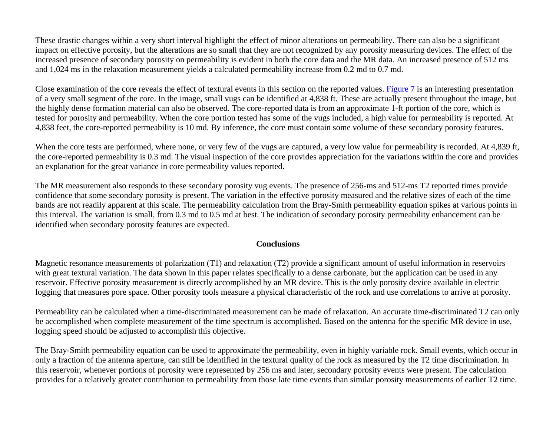These drastic changes within a very short interval highlight the effect of minor alterations on permeability. There can also be a significant impact on effective porosity, but the alterations are so small that they are not recognized by any porosity measuring devices. The effect of the increased presence of secondary porosity on permeability is evident in both the core data and the MR data. An increased presence of 512 ms and 1,024 ms in the relaxation measurement yields a calculated permeability increase from 0.2 md to 0.7 md.

Close examination of the core reveals the effect of textural events in this section on the reported values. [Figure 7](#page-12-0) is an interesting presentation of a very small segment of the core. In the image, small vugs can be identified at 4,838 ft. These are actually present throughout the image, but the highly dense formation material can also be observed. The core-reported data is from an approximate 1-ft portion of the core, which is tested for porosity and permeability. When the core portion tested has some of the vugs included, a high value for permeability is reported. At 4,838 feet, the core-reported permeability is 10 md. By inference, the core must contain some volume of these secondary porosity features.

When the core tests are performed, where none, or very few of the vugs are captured, a very low value for permeability is recorded. At 4,839 ft, the core-reported permeability is 0.3 md. The visual inspection of the core provides appreciation for the variations within the core and provides an explanation for the great variance in core permeability values reported.

The MR measurement also responds to these secondary porosity vug events. The presence of 256-ms and 512-ms T2 reported times provide confidence that some secondary porosity is present. The variation in the effective porosity measured and the relative sizes of each of the time bands are not readily apparent at this scale. The permeability calculation from the Bray-Smith permeability equation spikes at various points in this interval. The variation is small, from 0.3 md to 0.5 md at best. The indication of secondary porosity permeability enhancement can be identified when secondary porosity features are expected.

#### **Conclusions**

Magnetic resonance measurements of polarization (T1) and relaxation (T2) provide a significant amount of useful information in reservoirs with great textural variation. The data shown in this paper relates specifically to a dense carbonate, but the application can be used in any reservoir. Effective porosity measurement is directly accomplished by an MR device. This is the only porosity device available in electric logging that measures pore space. Other porosity tools measure a physical characteristic of the rock and use correlations to arrive at porosity.

Permeability can be calculated when a time-discriminated measurement can be made of relaxation. An accurate time-discriminated T2 can only be accomplished when complete measurement of the time spectrum is accomplished. Based on the antenna for the specific MR device in use, logging speed should be adjusted to accomplish this objective.

The Bray-Smith permeability equation can be used to approximate the permeability, even in highly variable rock. Small events, which occur in only a fraction of the antenna aperture, can still be identified in the textural quality of the rock as measured by the T2 time discrimination. In this reservoir, whenever portions of porosity were represented by 256 ms and later, secondary porosity events were present. The calculation provides for a relatively greater contribution to permeability from those late time events than similar porosity measurements of earlier T2 time.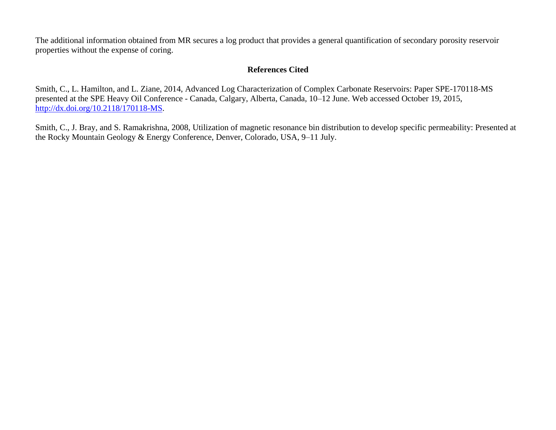The additional information obtained from MR secures a log product that provides a general quantification of secondary porosity reservoir properties without the expense of coring.

## **References Cited**

Smith, C., L. Hamilton, and L. Ziane, 2014, Advanced Log Characterization of Complex Carbonate Reservoirs: Paper SPE-170118-MS presented at the SPE Heavy Oil Conference - Canada, Calgary, Alberta, Canada, 10–12 June. Web accessed October 19, 2015, [http://dx.doi.org/10.2118/170118-MS.](http://dx.doi.org/10.2118/170118-MS)

Smith, C., J. Bray, and S. Ramakrishna, 2008, Utilization of magnetic resonance bin distribution to develop specific permeability: Presented at the Rocky Mountain Geology & Energy Conference, Denver, Colorado, USA, 9–11 July.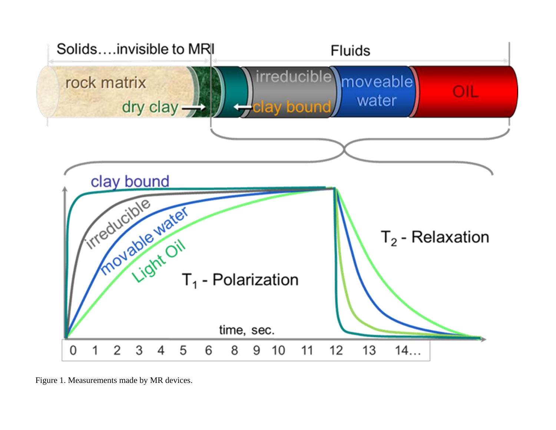<span id="page-6-0"></span>

Figure 1. Measurements made by MR devices.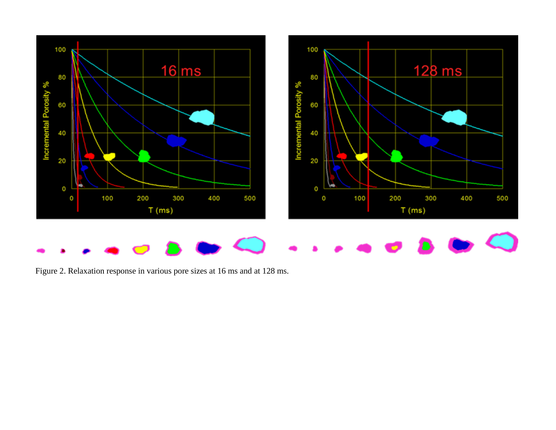<span id="page-7-0"></span>

Figure 2. Relaxation response in various pore sizes at 16 ms and at 128 ms.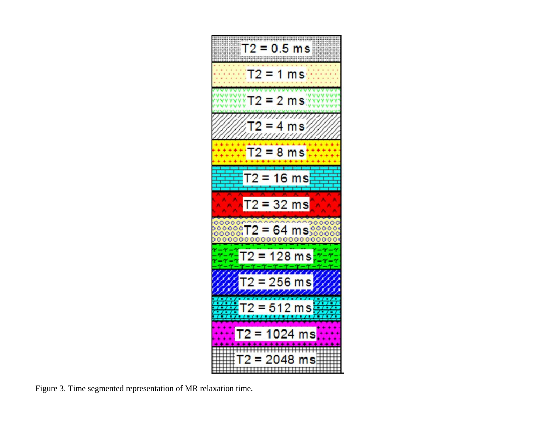<span id="page-8-0"></span>

Figure 3. Time segmented representation of MR relaxation time.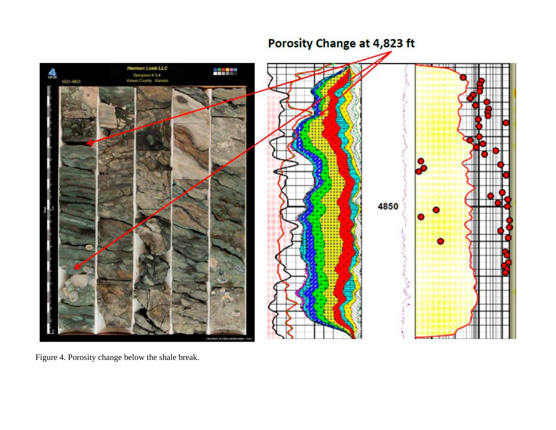<span id="page-9-0"></span>

Figure 4. Porosity change below the shale break.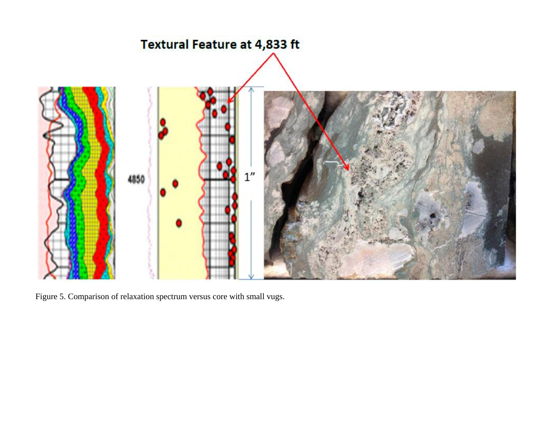<span id="page-10-0"></span>

Figure 5. Comparison of relaxation spectrum versus core with small vugs.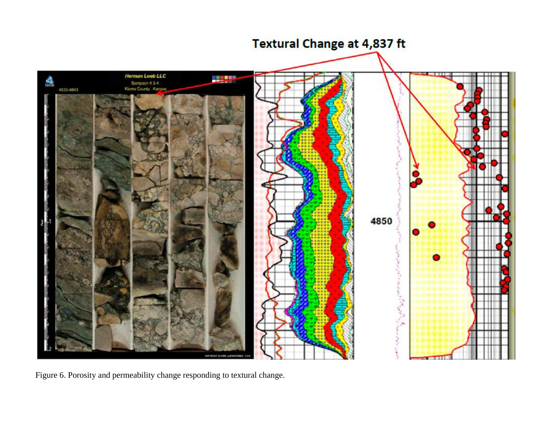<span id="page-11-0"></span>

Figure 6. Porosity and permeability change responding to textural change.